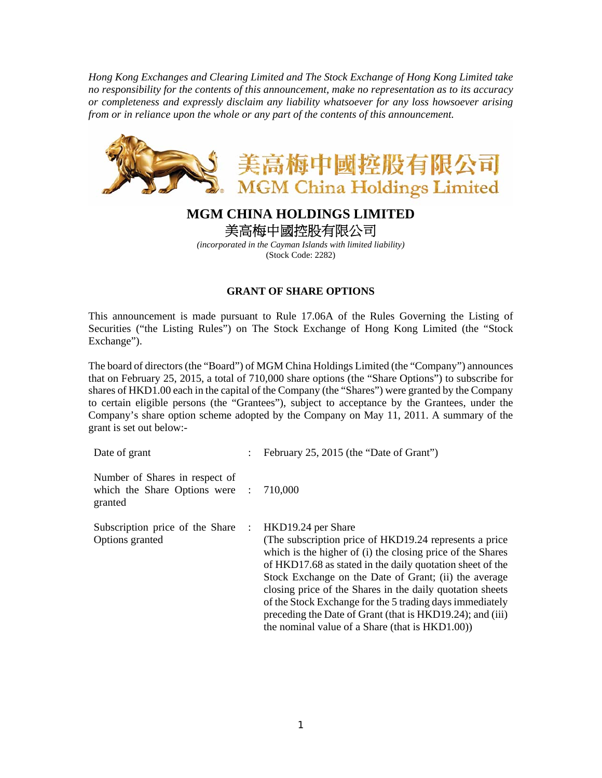*Hong Kong Exchanges and Clearing Limited and The Stock Exchange of Hong Kong Limited take no responsibility for the contents of this announcement, make no representation as to its accuracy or completeness and expressly disclaim any liability whatsoever for any loss howsoever arising from or in reliance upon the whole or any part of the contents of this announcement.* 



## **MGM CHINA HOLDINGS LIMITED**  美高梅中國控股有限公司

*(incorporated in the Cayman Islands with limited liability)*  (Stock Code: 2282)

## **GRANT OF SHARE OPTIONS**

This announcement is made pursuant to Rule 17.06A of the Rules Governing the Listing of Securities ("the Listing Rules") on The Stock Exchange of Hong Kong Limited (the "Stock Exchange").

The board of directors (the "Board") of MGM China Holdings Limited (the "Company") announces that on February 25, 2015, a total of 710,000 share options (the "Share Options") to subscribe for shares of HKD1.00 each in the capital of the Company (the "Shares") were granted by the Company to certain eligible persons (the "Grantees"), subject to acceptance by the Grantees, under the Company's share option scheme adopted by the Company on May 11, 2011. A summary of the grant is set out below:-

| Date of grant                                                               |                | February 25, 2015 (the "Date of Grant")                                                                                                                                                                                                                                                                                                                                                                                                                                                                    |
|-----------------------------------------------------------------------------|----------------|------------------------------------------------------------------------------------------------------------------------------------------------------------------------------------------------------------------------------------------------------------------------------------------------------------------------------------------------------------------------------------------------------------------------------------------------------------------------------------------------------------|
| Number of Shares in respect of<br>which the Share Options were :<br>granted |                | 710,000                                                                                                                                                                                                                                                                                                                                                                                                                                                                                                    |
| Subscription price of the Share<br>Options granted                          | $\mathbb{R}^n$ | HKD19.24 per Share<br>(The subscription price of HKD19.24 represents a price)<br>which is the higher of (i) the closing price of the Shares<br>of HKD17.68 as stated in the daily quotation sheet of the<br>Stock Exchange on the Date of Grant; (ii) the average<br>closing price of the Shares in the daily quotation sheets<br>of the Stock Exchange for the 5 trading days immediately<br>preceding the Date of Grant (that is HKD19.24); and (iii)<br>the nominal value of a Share (that is HKD1.00)) |